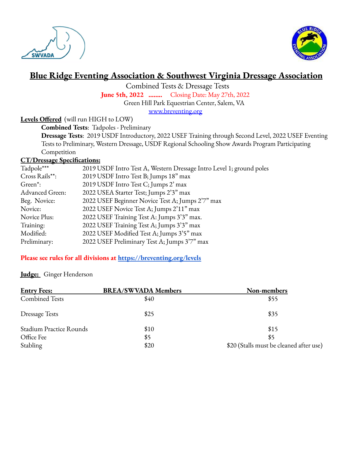



# **Blue Ridge Eventing Association & Southwest Virginia Dressage Association**

Combined Tests & Dressage Tests

**June 5th, 2022 ……..** Closing Date: May 27th, 2022

Green Hill Park Equestrian Center, Salem, VA

[www.breventing.org](http://www.breventing.org)

## **Levels Offered** (will run HIGH to LOW)

**Combined Tests**: Tadpoles - Preliminary

**Dressage Tests**: 2019 USDF Introductory, 2022 USEF Training through Second Level, 2022 USEF Eventing Tests to Preliminary, Western Dressage, USDF Regional Schooling Show Awards Program Participating Competition

#### **CT/Dressage Specifications:**

| Tadpole***           | 2019 USDF Intro Test A, Western Dressage Intro Level 1; ground poles |
|----------------------|----------------------------------------------------------------------|
| Cross Rails**:       | 2019 USDF Intro Test B; Jumps 18" max                                |
| Green <sup>*</sup> : | 2019 USDF Intro Test C; Jumps 2' max                                 |
| Advanced Green:      | 2022 USEA Starter Test; Jumps 2'3" max                               |
| Beg. Novice:         | 2022 USEF Beginner Novice Test A; Jumps 2'7" max                     |
| Novice:              | 2022 USEF Novice Test A; Jumps 2'11" max                             |
| Novice Plus:         | 2022 USEF Training Test A: Jumps 3'3" max.                           |
| Training:            | 2022 USEF Training Test A; Jumps 3'3" max                            |
| Modified:            | 2022 USEF Modified Test A; Jumps 3'5" max                            |
| Preliminary:         | 2022 USEF Preliminary Test A; Jumps 3'7" max                         |
|                      |                                                                      |

#### **Please see rules for all divisions at <https://breventing.org/levels>**

#### **Judge:** Ginger Henderson

| <b>Entry Fees:</b>             | <b>BREA/SWVADA Members</b> | Non-members                             |
|--------------------------------|----------------------------|-----------------------------------------|
| <b>Combined Tests</b>          | \$40                       | \$55                                    |
| <b>Dressage Tests</b>          | \$25                       | \$35                                    |
| <b>Stadium Practice Rounds</b> | \$10                       | \$15                                    |
| Office Fee                     | \$5                        | \$5                                     |
| Stabling                       | \$20                       | \$20 (Stalls must be cleaned after use) |